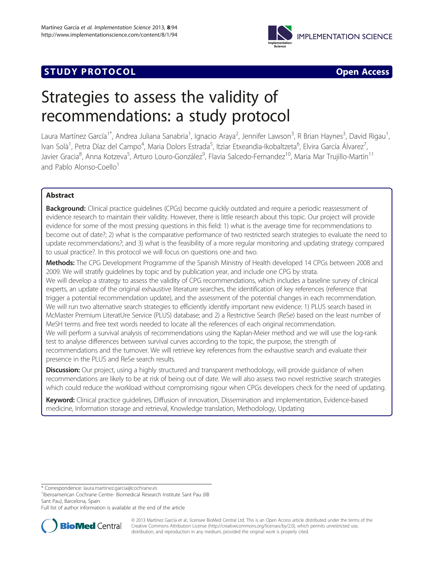

# **STUDY PROTOCOL CONSUMING THE RESERVE ACCESS**

# Strategies to assess the validity of recommendations: a study protocol

Laura Martínez García<sup>1\*</sup>, Andrea Juliana Sanabria<sup>1</sup>, Ignacio Araya<sup>2</sup>, Jennifer Lawson<sup>3</sup>, R Brian Haynes<sup>3</sup>, David Rigau<sup>1</sup> , Ivan Solà<sup>1</sup>, Petra Díaz del Campo<sup>4</sup>, Maria Dolors Estrada<sup>5</sup>, Itziar Etxeandia-Ikobaltzeta<sup>6</sup>, Elvira García Álvarez<sup>7</sup> , Javier Gracia<sup>8</sup>, Anna Kotzeva<sup>5</sup>, Arturo Louro-González<sup>9</sup>, Flavia Salcedo-Fernandez<sup>10</sup>, Maria Mar Trujillo-Martín<sup>11</sup> and Pablo Alonso-Coello<sup>1</sup>

# Abstract

Background: Clinical practice quidelines (CPGs) become quickly outdated and require a periodic reassessment of evidence research to maintain their validity. However, there is little research about this topic. Our project will provide evidence for some of the most pressing questions in this field: 1) what is the average time for recommendations to become out of date?; 2) what is the comparative performance of two restricted search strategies to evaluate the need to update recommendations?; and 3) what is the feasibility of a more regular monitoring and updating strategy compared to usual practice?. In this protocol we will focus on questions one and two.

Methods: The CPG Development Programme of the Spanish Ministry of Health developed 14 CPGs between 2008 and 2009. We will stratify guidelines by topic and by publication year, and include one CPG by strata. We will develop a strategy to assess the validity of CPG recommendations, which includes a baseline survey of clinical

experts, an update of the original exhaustive literature searches, the identification of key references (reference that trigger a potential recommendation update), and the assessment of the potential changes in each recommendation. We will run two alternative search strategies to efficiently identify important new evidence: 1) PLUS search based in McMaster Premium LiteratUre Service (PLUS) database; and 2) a Restrictive Search (ReSe) based on the least number of MeSH terms and free text words needed to locate all the references of each original recommendation. We will perform a survival analysis of recommendations using the Kaplan-Meier method and we will use the log-rank test to analyse differences between survival curves according to the topic, the purpose, the strength of recommendations and the turnover. We will retrieve key references from the exhaustive search and evaluate their presence in the PLUS and ReSe search results.

**Discussion:** Our project, using a highly structured and transparent methodology, will provide guidance of when recommendations are likely to be at risk of being out of date. We will also assess two novel restrictive search strategies which could reduce the workload without compromising rigour when CPGs developers check for the need of updating.

Keyword: Clinical practice guidelines, Diffusion of innovation, Dissemination and implementation, Evidence-based medicine, Information storage and retrieval, Knowledge translation, Methodology, Updating

\* Correspondence: [laura.martinez.garcia@cochrane.es](mailto:laura.martinez.garcia@cochrane.es) <sup>1</sup>

<sup>1</sup>Iberoamerican Cochrane Centre- Biomedical Research Institute Sant Pau (IIB Sant Pau), Barcelona, Spain

Full list of author information is available at the end of the article



© 2013 Martínez García et al.; licensee BioMed Central Ltd. This is an Open Access article distributed under the terms of the Creative Commons Attribution License (<http://creativecommons.org/licenses/by/2.0>), which permits unrestricted use, distribution, and reproduction in any medium, provided the original work is properly cited.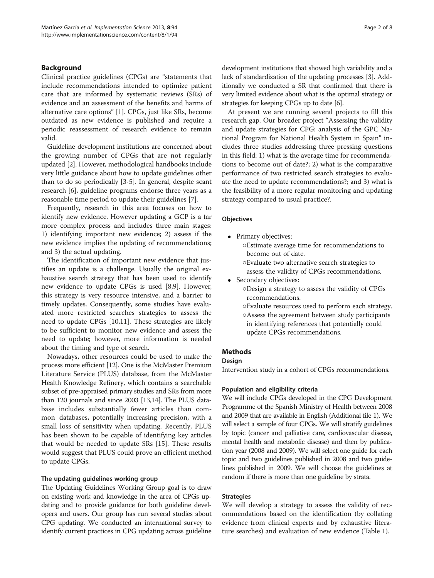# Background

Clinical practice guidelines (CPGs) are "statements that include recommendations intended to optimize patient care that are informed by systematic reviews (SRs) of evidence and an assessment of the benefits and harms of alternative care options" [\[1](#page-6-0)]. CPGs, just like SRs, become outdated as new evidence is published and require a periodic reassessment of research evidence to remain valid.

Guideline development institutions are concerned about the growing number of CPGs that are not regularly updated [\[2](#page-6-0)]. However, methodological handbooks include very little guidance about how to update guidelines other than to do so periodically [[3-5](#page-6-0)]. In general, despite scant research [[6\]](#page-6-0), guideline programs endorse three years as a reasonable time period to update their guidelines [[7\]](#page-6-0).

Frequently, research in this area focuses on how to identify new evidence. However updating a GCP is a far more complex process and includes three main stages: 1) identifying important new evidence; 2) assess if the new evidence implies the updating of recommendations; and 3) the actual updating.

The identification of important new evidence that justifies an update is a challenge. Usually the original exhaustive search strategy that has been used to identify new evidence to update CPGs is used [\[8,9](#page-6-0)]. However, this strategy is very resource intensive, and a barrier to timely updates. Consequently, some studies have evaluated more restricted searches strategies to assess the need to update CPGs [[10,11\]](#page-6-0). These strategies are likely to be sufficient to monitor new evidence and assess the need to update; however, more information is needed about the timing and type of search.

Nowadays, other resources could be used to make the process more efficient [\[12\]](#page-6-0). One is the McMaster Premium Literature Service (PLUS) database, from the McMaster Health Knowledge Refinery, which contains a searchable subset of pre-appraised primary studies and SRs from more than 120 journals and since 2003 [\[13,](#page-6-0)[14](#page-7-0)]. The PLUS database includes substantially fewer articles than common databases, potentially increasing precision, with a small loss of sensitivity when updating. Recently, PLUS has been shown to be capable of identifying key articles that would be needed to update SRs [[15\]](#page-7-0). These results would suggest that PLUS could prove an efficient method to update CPGs.

#### The updating guidelines working group

The Updating Guidelines Working Group goal is to draw on existing work and knowledge in the area of CPGs updating and to provide guidance for both guideline developers and users. Our group has run several studies about CPG updating. We conducted an international survey to identify current practices in CPG updating across guideline development institutions that showed high variability and a lack of standardization of the updating processes [\[3](#page-6-0)]. Additionally we conducted a SR that confirmed that there is very limited evidence about what is the optimal strategy or strategies for keeping CPGs up to date [\[6\]](#page-6-0).

At present we are running several projects to fill this research gap. Our broader project "Assessing the validity and update strategies for CPG: analysis of the GPC National Program for National Health System in Spain" includes three studies addressing three pressing questions in this field: 1) what is the average time for recommendations to become out of date?; 2) what is the comparative performance of two restricted search strategies to evaluate the need to update recommendations?; and 3) what is the feasibility of a more regular monitoring and updating strategy compared to usual practice?.

#### **Objectives**

- Primary objectives:
	- ○Estimate average time for recommendations to become out of date.
	- ○Evaluate two alternative search strategies to assess the validity of CPGs recommendations.
- Secondary objectives:
	- ○Design a strategy to assess the validity of CPGs recommendations.
	- ○Evaluate resources used to perform each strategy. ○Assess the agreement between study participants in identifying references that potentially could update CPGs recommendations.

# Methods

#### Design

Intervention study in a cohort of CPGs recommendations.

# Population and eligibility criteria

We will include CPGs developed in the CPG Development Programme of the Spanish Ministry of Health between 2008 and 2009 that are available in English (Additional file [1\)](#page-6-0). We will select a sample of four CPGs. We will stratify guidelines by topic (cancer and palliative care, cardiovascular disease, mental health and metabolic disease) and then by publication year (2008 and 2009). We will select one guide for each topic and two guidelines published in 2008 and two guidelines published in 2009. We will choose the guidelines at random if there is more than one guideline by strata.

# Strategies

We will develop a strategy to assess the validity of recommendations based on the identification (by collating evidence from clinical experts and by exhaustive literature searches) and evaluation of new evidence (Table [1](#page-2-0)).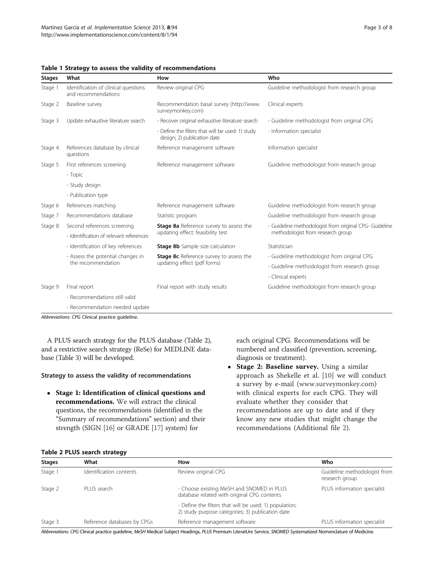| <b>Stages</b> | What                                                        | How                                                                             | Who                                                                                         |
|---------------|-------------------------------------------------------------|---------------------------------------------------------------------------------|---------------------------------------------------------------------------------------------|
| Stage 1       | Identification of clinical questions<br>and recommendations | Review original CPG                                                             | Guideline methodologist from research group                                                 |
| Stage 2       | Baseline survey                                             | Recommendation basal survey (http://www.<br>surveymonkey.com)                   | Clinical experts                                                                            |
| Stage 3       | Update exhaustive literature search                         | - Recover original exhaustive literature search                                 | - Guideline methodologist from original CPG                                                 |
|               |                                                             | - Define the filters that will be used: 1) study<br>design; 2) publication date | - Information specialist                                                                    |
| Stage 4       | References database by clinical<br>questions                | Reference management software                                                   | Information specialist                                                                      |
| Stage 5       | First references screening                                  | Reference management software                                                   | Guideline methodologist from research group                                                 |
|               | - Topic                                                     |                                                                                 |                                                                                             |
|               | - Study design                                              |                                                                                 |                                                                                             |
|               | - Publication type                                          |                                                                                 |                                                                                             |
| Stage 6       | References matching                                         | Reference management software                                                   | Guideline methodologist from research group                                                 |
| Stage 7       | Recommendations database                                    | Statistic program                                                               | Guideline methodologist from research group                                                 |
| Stage 8       | Second references screening                                 | Stage 8a Reference survey to assess the                                         | - Guideline methodologist from original CPG- Guideline<br>methodologist from research group |
|               | - Identification of relevant references                     | updating effect: feasibility test                                               |                                                                                             |
|               | - Identification of key references                          | <b>Stage 8b</b> Sample size calculation                                         | Statistician                                                                                |
|               | - Assess the potential changes in<br>the recommendation     | <b>Stage 8c</b> Reference survey to assess the<br>updating effect (pdf forms)   | - Guideline methodologist from original CPG                                                 |
|               |                                                             |                                                                                 | - Guideline methodologist from research group                                               |
|               |                                                             |                                                                                 | - Clinical experts                                                                          |
| Stage 9       | Final report                                                | Final report with study results                                                 | Guideline methodologist from research group                                                 |
|               | - Recommendations still valid                               |                                                                                 |                                                                                             |
|               | - Recommendation needed update                              |                                                                                 |                                                                                             |

<span id="page-2-0"></span>Table 1 Strategy to assess the validity of recommendations

Abbreviations: CPG Clinical practice guideline.

A PLUS search strategy for the PLUS database (Table 2), and a restrictive search strategy (ReSe) for MEDLINE database (Table [3](#page-3-0)) will be developed.

#### Strategy to assess the validity of recommendations

 Stage 1: Identification of clinical questions and recommendations. We will extract the clinical questions, the recommendations (identified in the "Summary of recommendations" section) and their strength (SIGN [[16\]](#page-7-0) or GRADE [\[17\]](#page-7-0) system) for

each original CPG. Recommendations will be numbered and classified (prevention, screening, diagnosis or treatment).

• Stage 2: Baseline survey. Using a similar approach as Shekelle et al. [\[10](#page-6-0)] we will conduct a survey by e-mail ([www.surveymonkey.com](http://www.surveymonkey.com)) with clinical experts for each CPG. They will evaluate whether they consider that recommendations are up to date and if they know any new studies that might change the recommendations (Additional file [2\)](#page-6-0).

#### Table 2 PLUS search strategy

| <b>Stages</b> | What                        | How                                                                                                        | Who                                            |
|---------------|-----------------------------|------------------------------------------------------------------------------------------------------------|------------------------------------------------|
| Stage 1       | Identification contents     | Review original CPG                                                                                        | Guideline methodologist from<br>research group |
| Stage 2       | PLUS search                 | - Choose existing MeSH and SNOMED in PLUS<br>database related with original CPG contents                   | PLUS information specialist                    |
|               |                             | - Define the filters that will be used: 1) population;<br>2) study purpose categories; 3) publication date |                                                |
| Stage 3       | Reference databases by CPGs | Reference management software                                                                              | PLUS information specialist                    |

Abbreviations: CPG Clinical practice guideline, MeSH Medical Subject Headings, PLUS Premium LiteratUre Service, SNOMED Systematized Nomenclature of Medicine.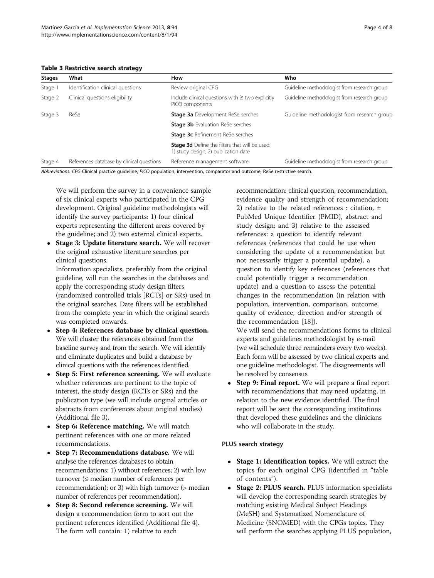<span id="page-3-0"></span>Table 3 Restrictive search strategy

| <b>Stages</b> | What                                      | How                                                                                           | Who                                         |
|---------------|-------------------------------------------|-----------------------------------------------------------------------------------------------|---------------------------------------------|
| Stage 1       | Identification clinical questions         | Review original CPG                                                                           | Guideline methodologist from research group |
| Stage 2       | Clinical questions eligibility            | Include clinical questions with $\geq$ two explicitly<br>PICO components                      | Guideline methodologist from research group |
| Stage 3       | ReSe                                      | <b>Stage 3a</b> Development ReSe serches                                                      | Guideline methodologist from research group |
|               |                                           | <b>Stage 3b</b> Evaluation ReSe serches                                                       |                                             |
|               |                                           | <b>Stage 3c</b> Refinement ReSe serches                                                       |                                             |
|               |                                           | <b>Stage 3d</b> Define the filters that will be used:<br>1) study design; 2) publication date |                                             |
| Stage 4       | References database by clinical questions | Reference management software                                                                 | Guideline methodologist from research group |

Abbreviations: CPG Clinical practice guideline, PICO population, intervention, comparator and outcome, ReSe restrictive search.

We will perform the survey in a convenience sample of six clinical experts who participated in the CPG development. Original guideline methodologists will identify the survey participants: 1) four clinical experts representing the different areas covered by the guideline; and 2) two external clinical experts.

- Stage 3: Update literature search. We will recover the original exhaustive literature searches per clinical questions. Information specialists, preferably from the original guideline, will run the searches in the databases and apply the corresponding study design filters (randomised controlled trials [RCTs] or SRs) used in the original searches. Date filters will be established from the complete year in which the original search was completed onwards.
- Step 4: References database by clinical question. We will cluster the references obtained from the baseline survey and from the search. We will identify and eliminate duplicates and build a database by clinical questions with the references identified.
- Step 5: First reference screening. We will evaluate whether references are pertinent to the topic of interest, the study design (RCTs or SRs) and the publication type (we will include original articles or abstracts from conferences about original studies) (Additional file [3\)](#page-6-0).
- Step 6: Reference matching. We will match pertinent references with one or more related recommendations.
- Step 7: Recommendations database. We will analyse the references databases to obtain recommendations: 1) without references; 2) with low turnover (≤ median number of references per recommendation); or 3) with high turnover (> median number of references per recommendation).
- Step 8: Second reference screening. We will design a recommendation form to sort out the pertinent references identified (Additional file [4](#page-6-0)). The form will contain: 1) relative to each

recommendation: clinical question, recommendation, evidence quality and strength of recommendation; 2) relative to the related references : citation, ± PubMed Unique Identifier (PMID), abstract and study design; and 3) relative to the assessed references: a question to identify relevant references (references that could be use when considering the update of a recommendation but not necessarily trigger a potential update), a question to identify key references (references that could potentially trigger a recommendation update) and a question to assess the potential changes in the recommendation (in relation with population, intervention, comparison, outcome, quality of evidence, direction and/or strength of the recommendation [\[18\]](#page-7-0)).

We will send the recommendations forms to clinical experts and guidelines methodologist by e-mail (we will schedule three remainders every two weeks). Each form will be assessed by two clinical experts and one guideline methodologist. The disagreements will be resolved by consensus.

 Step 9: Final report. We will prepare a final report with recommendations that may need updating, in relation to the new evidence identified. The final report will be sent the corresponding institutions that developed these guidelines and the clinicians who will collaborate in the study.

# PLUS search strategy

- Stage 1: Identification topics. We will extract the topics for each original CPG (identified in "table of contents").
- Stage 2: PLUS search. PLUS information specialists will develop the corresponding search strategies by matching existing Medical Subject Headings (MeSH) and Systematized Nomenclature of Medicine (SNOMED) with the CPGs topics. They will perform the searches applying PLUS population,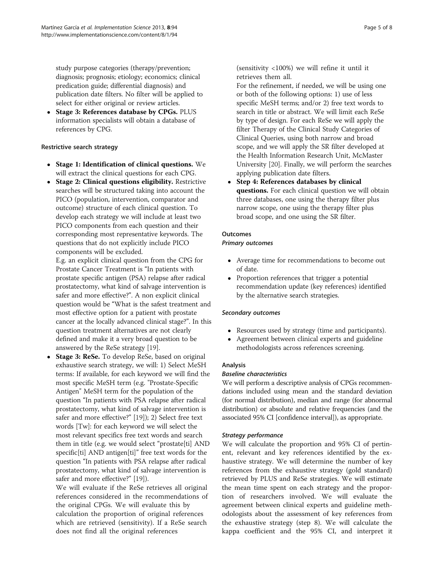study purpose categories (therapy/prevention; diagnosis; prognosis; etiology; economics; clinical predication guide; differential diagnosis) and publication date filters. No filter will be applied to select for either original or review articles.

• Stage 3: References database by CPGs. PLUS information specialists will obtain a database of references by CPG.

# Restrictive search strategy

- Stage 1: Identification of clinical questions. We will extract the clinical questions for each CPG.
- Stage 2: Clinical questions eligibility. Restrictive searches will be structured taking into account the PICO (population, intervention, comparator and outcome) structure of each clinical question. To develop each strategy we will include at least two PICO components from each question and their corresponding most representative keywords. The questions that do not explicitly include PICO components will be excluded.

E.g. an explicit clinical question from the CPG for Prostate Cancer Treatment is "In patients with prostate specific antigen (PSA) relapse after radical prostatectomy, what kind of salvage intervention is safer and more effective?". A non explicit clinical question would be "What is the safest treatment and most effective option for a patient with prostate cancer at the locally advanced clinical stage?". In this question treatment alternatives are not clearly defined and make it a very broad question to be answered by the ReSe strategy [[19\]](#page-7-0).

 Stage 3: ReSe. To develop ReSe, based on original exhaustive search strategy, we will: 1) Select MeSH terms: If available, for each keyword we will find the most specific MeSH term (e.g. "Prostate-Specific Antigen" MeSH term for the population of the question "In patients with PSA relapse after radical prostatectomy, what kind of salvage intervention is safer and more effective?" [\[19\]](#page-7-0)); 2) Select free text words [Tw]: for each keyword we will select the most relevant specifics free text words and search them in title (e.g. we would select "prostate[ti] AND specific[ti] AND antigen[ti]" free text words for the question "In patients with PSA relapse after radical prostatectomy, what kind of salvage intervention is safer and more effective?" [\[19\]](#page-7-0)).

We will evaluate if the ReSe retrieves all original references considered in the recommendations of the original CPGs. We will evaluate this by calculation the proportion of original references which are retrieved (sensitivity). If a ReSe search does not find all the original references

(sensitivity <100%) we will refine it until it retrieves them all.

For the refinement, if needed, we will be using one or both of the following options: 1) use of less specific MeSH terms; and/or 2) free text words to search in title or abstract. We will limit each ReSe by type of design. For each ReSe we will apply the filter Therapy of the Clinical Study Categories of Clinical Queries, using both narrow and broad scope, and we will apply the SR filter developed at the Health Information Research Unit, McMaster University [[20\]](#page-7-0). Finally, we will perform the searches applying publication date filters.

 Step 4: References databases by clinical questions. For each clinical question we will obtain three databases, one using the therapy filter plus narrow scope, one using the therapy filter plus broad scope, and one using the SR filter.

# **Outcomes**

# Primary outcomes

- Average time for recommendations to become out of date.
- Proportion references that trigger a potential recommendation update (key references) identified by the alternative search strategies.

# Secondary outcomes

- Resources used by strategy (time and participants).
- Agreement between clinical experts and guideline methodologists across references screening.

# Analysis

# Baseline characteristics

We will perform a descriptive analysis of CPGs recommendations included using mean and the standard deviation (for normal distribution), median and range (for abnormal distribution) or absolute and relative frequencies (and the associated 95% CI [confidence interval]), as appropriate.

# Strategy performance

We will calculate the proportion and 95% CI of pertinent, relevant and key references identified by the exhaustive strategy. We will determine the number of key references from the exhaustive strategy (gold standard) retrieved by PLUS and ReSe strategies. We will estimate the mean time spent on each strategy and the proportion of researchers involved. We will evaluate the agreement between clinical experts and guideline methodologists about the assessment of key references from the exhaustive strategy (step 8). We will calculate the kappa coefficient and the 95% CI, and interpret it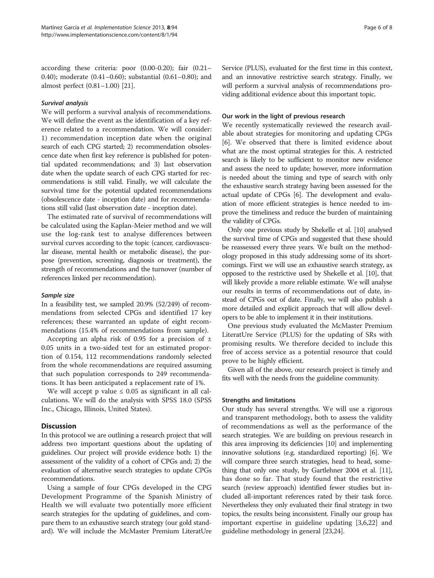according these criteria: poor (0.00-0.20); fair (0.21– 0.40); moderate (0.41–0.60); substantial (0.61–0.80); and almost perfect (0.81–1.00) [\[21\]](#page-7-0).

#### Survival analysis

We will perform a survival analysis of recommendations. We will define the event as the identification of a key reference related to a recommendation. We will consider: 1) recommendation inception date when the original search of each CPG started; 2) recommendation obsolescence date when first key reference is published for potential updated recommendations; and 3) last observation date when the update search of each CPG started for recommendations is still valid. Finally, we will calculate the survival time for the potential updated recommendations (obsolescence date - inception date) and for recommendations still valid (last observation date - inception date).

The estimated rate of survival of recommendations will be calculated using the Kaplan-Meier method and we will use the log-rank test to analyse differences between survival curves according to the topic (cancer, cardiovascular disease, mental health or metabolic disease), the purpose (prevention, screening, diagnosis or treatment), the strength of recommendations and the turnover (number of references linked per recommendation).

#### Sample size

In a feasibility test, we sampled 20.9% (52/249) of recommendations from selected CPGs and identified 17 key references; these warranted an update of eight recommendations (15.4% of recommendations from sample).

Accepting an alpha risk of 0.95 for a precision of  $\pm$ 0.05 units in a two-sided test for an estimated proportion of 0.154, 112 recommendations randomly selected from the whole recommendations are required assuming that such population corresponds to 249 recommendations. It has been anticipated a replacement rate of 1%.

We will accept p value  $\leq 0.05$  as significant in all calculations. We will do the analysis with SPSS 18.0 (SPSS Inc., Chicago, Illinois, United States).

#### **Discussion**

In this protocol we are outlining a research project that will address two important questions about the updating of guidelines. Our project will provide evidence both: 1) the assessment of the validity of a cohort of CPGs and; 2) the evaluation of alternative search strategies to update CPGs recommendations.

Using a sample of four CPGs developed in the CPG Development Programme of the Spanish Ministry of Health we will evaluate two potentially more efficient search strategies for the updating of guidelines, and compare them to an exhaustive search strategy (our gold standard). We will include the McMaster Premium LiteratUre Service (PLUS), evaluated for the first time in this context, and an innovative restrictive search strategy. Finally, we will perform a survival analysis of recommendations providing additional evidence about this important topic.

#### Our work in the light of previous research

We recently systematically reviewed the research available about strategies for monitoring and updating CPGs [[6\]](#page-6-0). We observed that there is limited evidence about what are the most optimal strategies for this. A restricted search is likely to be sufficient to monitor new evidence and assess the need to update; however, more information is needed about the timing and type of search with only the exhaustive search strategy having been assessed for the actual update of CPGs [[6\]](#page-6-0). The development and evaluation of more efficient strategies is hence needed to improve the timeliness and reduce the burden of maintaining the validity of CPGs.

Only one previous study by Shekelle et al. [\[10\]](#page-6-0) analysed the survival time of CPGs and suggested that these should be reassessed every three years. We built on the methodology proposed in this study addressing some of its shortcomings. First we will use an exhaustive search strategy, as opposed to the restrictive used by Shekelle et al. [\[10\]](#page-6-0), that will likely provide a more reliable estimate. We will analyse our results in terms of recommendations out of date, instead of CPGs out of date. Finally, we will also publish a more detailed and explicit approach that will allow developers to be able to implement it in their institutions.

One previous study evaluated the McMaster Premium LiteratUre Service (PLUS) for the updating of SRs with promising results. We therefore decided to include this free of access service as a potential resource that could prove to be highly efficient.

Given all of the above, our research project is timely and fits well with the needs from the guideline community.

#### Strengths and limitations

Our study has several strengths. We will use a rigorous and transparent methodology, both to assess the validity of recommendations as well as the performance of the search strategies. We are building on previous research in this area improving its deficiencies [[10](#page-6-0)] and implementing innovative solutions (e.g. standardized reporting) [\[6](#page-6-0)]. We will compare three search strategies, head to head, something that only one study, by Gartlehner 2004 et al. [\[11](#page-6-0)], has done so far. That study found that the restrictive search (review approach) identified fewer studies but included all-important references rated by their task force. Nevertheless they only evaluated their final strategy in two topics, the results being inconsistent. Finally our group has important expertise in guideline updating [\[3](#page-6-0),[6](#page-6-0),[22](#page-7-0)] and guideline methodology in general [\[23,24\]](#page-7-0).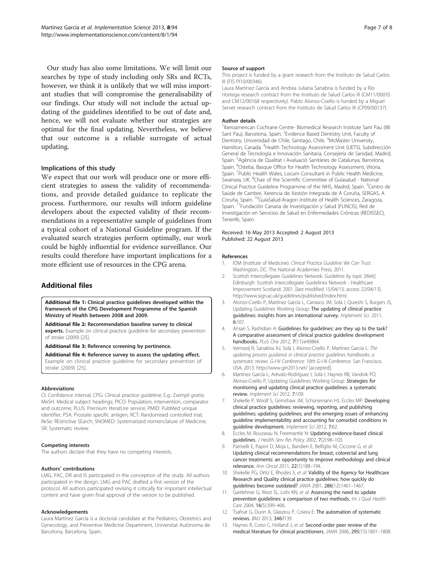<span id="page-6-0"></span>Our study has also some limitations. We will limit our searches by type of study including only SRs and RCTs, however, we think it is unlikely that we will miss important studies that will compromise the generalisability of our findings. Our study will not include the actual updating of the guidelines identified to be out of date and, hence, we will not evaluate whether our strategies are optimal for the final updating. Nevertheless, we believe that our outcome is a reliable surrogate of actual updating.

#### Implications of this study

We expect that our work will produce one or more efficient strategies to assess the validity of recommendations, and provide detailed guidance to replicate the process. Furthermore, our results will inform guideline developers about the expected validity of their recommendations in a representative sample of guidelines from a typical cohort of a National Guideline program. If the evaluated search strategies perform optimally, our work could be highly influential for evidence surveillance. Our results could therefore have important implications for a more efficient use of resources in the CPG arena.

# Additional files

[Additional file 1:](http://www.biomedcentral.com/content/supplementary/1748-5908-8-94-S1.pdf) Clinical practice guidelines developed within the framework of the CPG Development Programme of the Spanish Ministry of Health between 2008 and 2009.

[Additional file 2:](http://www.biomedcentral.com/content/supplementary/1748-5908-8-94-S2.pdf) Recommendation baseline survey to clinical

experts. Example on clinical practice guideline for secondary prevention of stroke (2009) [[25\]](#page-7-0).

[Additional file 3:](http://www.biomedcentral.com/content/supplementary/1748-5908-8-94-S3.pdf) Reference screening by pertinence.

[Additional file 4:](http://www.biomedcentral.com/content/supplementary/1748-5908-8-94-S4.pdf) Reference survey to assess the updating effect. Example on clinical practice guideline for secondary prevention of stroke (2009) [[25\]](#page-7-0).

#### Abbreviations

CI: Confidence interval; CPG: Clinical practice guideline; E.g.: Exempli gratia; MeSH: Medical subject headings; PICO: Population, intervention, comparator and outcome; PLUS: Premium literatUre service; PMID: PubMed unique identifier; PSA: Prostate specific antigen; RCT: Randomised controlled trial; ReSe: REstrictive SEarch; SNOMED: Systematized nomenclature of Medicine; SR: Systematic review.

#### Competing interests

The authors declare that they have no competing interests.

#### Authors' contributions

LMG, PAC, DR and IS participated in the conception of the study. All authors participated in the design. LMG and PAC drafted a first version of the protocol. All authors participated revising it critically for important intellectual content and have given final approval of the version to be published.

#### Acknowledgements

Laura Martínez García is a doctoral candidate at the Pediatrics, Obstetrics and Gynecology, and Preventive Medicine Department, Universitat Autònoma de Barcelona, Barcelona, Spain.

#### Source of support

This project is funded by a grant research from the Instituto de Salud Carlos III (FIS PI10/00346).

Laura Martínez García and Andrea Juliana Sanabria is funded by a Río Hortega research contract from the Instituto de Salud Carlos III (CM11/00035 and CM12/00168 respectively). Pablo Alonso-Coello is funded by a Miguel Servet research contract from the Instituto de Salud Carlos III (CP09/00137).

#### Author details

<sup>1</sup> Iberoamerican Cochrane Centre- Biomedical Research Institute Sant Pau (IIB Sant Pau), Barcelona, Spain. <sup>2</sup>Evidence Based Dentistry Unit, Faculty of Dentistry, Universidad de Chile, Santiago, Chile. <sup>3</sup>McMaster University, Hamilton, Canada. <sup>4</sup>Health Technology Assessment Unit (UETS), Subdirección General de Tecnología e Innovación Sanitaria, Consejería de Sanidad, Madrid, Spain. <sup>5</sup>Agència de Qualitat i Avaluació Sanitàries de Catalunya, Barcelona, Spain. <sup>6</sup>Osteba, Basque Office for Health Technology Assessment, Vitoria, Spain. <sup>7</sup>Public Health Wales, Locum Consultant in Public Health Medicine, Swansea, UK. <sup>8</sup>Chair of the Scientific Committee of Guíasalud - National Clinical Practice Guideline Programme of the NHS, Madrid, Spain. <sup>9</sup>Centro de Saúde de Cambre, Xerencia de Xestión Integrada de A Coruña, SERGAS, A Coruña, Spain. 10GuíaSalud-Aragon Institute of Health Sciences, Zaragoza, Spain. <sup>11</sup>Fundación Canaria de Investigación y Salud (FUNCIS), Red de Investigación en Servicios de Salud en Enfermedades Crónicas (REDISSEC), Tenerife, Spain.

#### Received: 16 May 2013 Accepted: 2 August 2013 Published: 22 August 2013

#### References

- 1. IOM (Institute of Medicine): Clinical Practice Guideline We Can Trust. Washington, DC: The National Academies Press; 2011.
- 2. Scottish Intercollegiate Guidelines Network: Guidelines by topic IWebl. Edinburgh: Scottish Intercollegiate Guidelines Network - Healthcare Improvement Scotland; 2001. [last modified 15/04/13; access 22/04/13]. [http://www.sign.ac.uk/guidelines/published/index.html.](http://www.sign.ac.uk/guidelines/published/index.html)
- 3. Alonso-Coello P, Martínez García L, Carrasco JM, Solà I, Qureshi S, Burgers JS, Updating Guidelines Working Group: The updating of clinical practice guidelines: insights from an international survey. Implement Sci. 2011, 6:107.
- 4. Ansari S, Rashidian A: Guidelines for guidelines: are they up to the task? A comparative assessment of clinical practice guideline development handbooks. PLoS One 2012, **7**(11):e49864.
- 5. Vernooij R, Sanabria AJ, Solà I, Alonso-Coello P, Martínez García L: The updating process guidance in clinical practice guidelines handbooks: a systematic review. G-I-N Conference: 10th G-I-N Conference. San Francisco, USA; 2013.<http://www.gin2013.net/> [accepted].
- 6. Martínez García L, Arévalo-Rodríguez I, Solà I, Haynes RB, Vandvik PO, Alonso-Coello P, Updating Guidelines Working Group: Strategies for monitoring and updating clinical practice guidelines: a systematic review. Implement Sci 2012, 7:109.
- 7. Shekelle P, Woolf S, Grimshaw JM, Schünemann HJ, Eccles MP: Developing clinical practice guidelines: reviewing, reporting, and publishing guidelines; updating guidelines; and the emerging issues of enhancing guideline implementability and accounting for comorbid conditions in guideline development. Implement Sci 2012, 7:62.
- 8. Eccles M, Rousseau N, Freemantle N: Updating evidence-based clinical guidelines. J Health Serv Res Policy 2002, 7(2):98–103.
- 9. Parmelli E, Papini D, Moja L, Bandieri E, Belfiglio M, Ciccone G, et al: Updating clinical recommendations for breast, colorectal and lung cancer treatments: an opportunity to improve methodology and clinical relevance. Ann Oncol 2011, 22(1):188–194.
- 10. Shekelle PG, Ortiz E, Rhodes S, et al: Validity of the Agency for Healthcare Research and Quality clinical practice guidelines: how quickly do guidelines become outdated? JAMA 2001, 286(12):1461–1467.
- 11. Gartlehner G, West SL, Lohr KN, et al: Assessing the need to update prevention guidelines: a comparison of two methods. Int J Qual Health Care 2004, **16**(5):399-406.
- 12. Tsafnat G, Dunn A, Glasziou P, Coiera E: The automation of systematic reviews. BMJ 2013, 346:f139.
- 13. Haynes R, Cotoi C, Holland J, et al: Second-order peer review of the medical literature for clinical practitioners. JAMA 2006, 295(15):1801–1808.